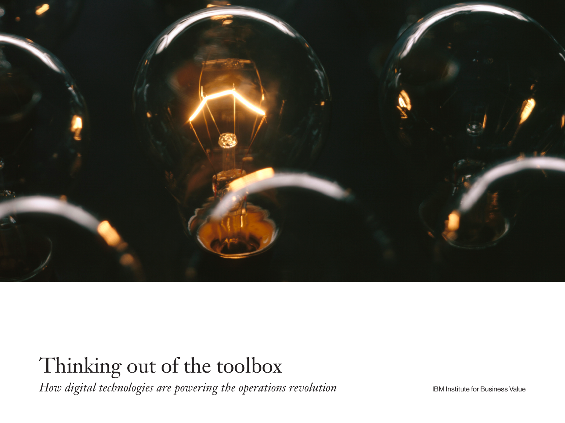

# Thinking out of the toolbox

*How digital technologies are powering the operations revolution*

IBM Institute for Business Value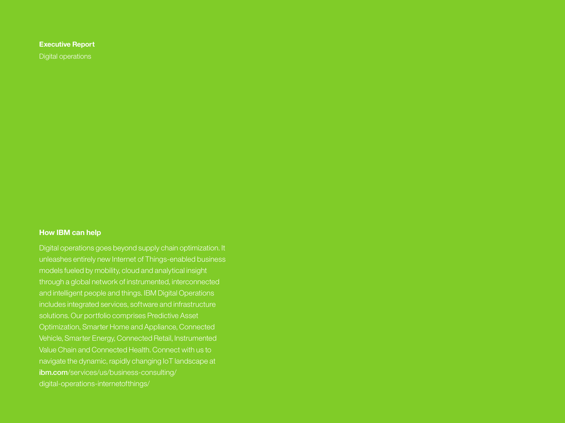### **Executive Report**

Digital operations

### **How IBM can help**

Digital operations goes beyond supply chain optimization. It unleashes entirely new Internet of Things-enabled business models fueled by mobility, cloud and analytical insight through a global network of instrumented, interconnected and intelligent people and things. IBM Digital Operations includes integrated services, software and infrastructure solutions. Our portfolio comprises Predictive Asset Optimization, Smarter Home and Appliance, Connected Value Chain and Connected Health. Connect with us to navigate the dynamic, rapidly changing IoT landscape at ibm.com/services/us/business-consulting/ digital-operations-internetofthings/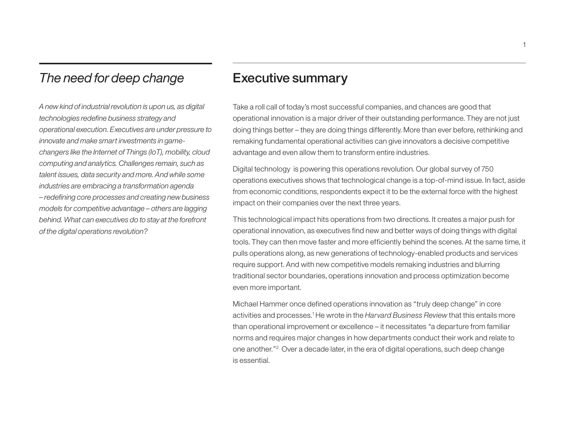# *The need for deep change*

*A new kind of industrial revolution is upon us, as digital technologies redefine business strategy and operational execution. Executives are under pressure to innovate and make smart investments in gamechangers like the Internet of Things (IoT), mobility, cloud computing and analytics. Challenges remain, such as talent issues, data security and more. And while some industries are embracing a transformation agenda – redefining core processes and creating new business models for competitive advantage – others are lagging behind. What can executives do to stay at the forefront of the digital operations revolution?* 

# Executive summary

Take a roll call of today's most successful companies, and chances are good that operational innovation is a major driver of their outstanding performance. They are not just doing things better – they are doing things differently. More than ever before, rethinking and remaking fundamental operational activities can give innovators a decisive competitive advantage and even allow them to transform entire industries.

Digital technology is powering this operations revolution. Our global survey of 750 operations executives shows that technological change is a top-of-mind issue. In fact, aside from economic conditions, respondents expect it to be the external force with the highest impact on their companies over the next three years.

This technological impact hits operations from two directions. It creates a major push for operational innovation, as executives find new and better ways of doing things with digital tools. They can then move faster and more efficiently behind the scenes. At the same time, it pulls operations along, as new generations of technology-enabled products and services require support. And with new competitive models remaking industries and blurring traditional sector boundaries, operations innovation and process optimization become even more important.

Michael Hammer once defined operations innovation as "truly deep change" in core activities and processes.<sup>1</sup> He wrote in the *Harvard Business Review* that this entails more than operational improvement or excellence – it necessitates "a departure from familiar norms and requires major changes in how departments conduct their work and relate to one another."<sup>2</sup> Over a decade later, in the era of digital operations, such deep change is essential.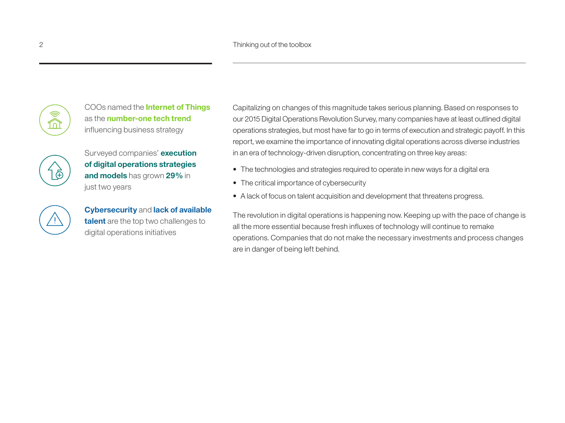

COOs named the **Internet of Things** as the **number-one tech trend**  influencing business strategy

Surveyed companies' **execution of digital operations strategies and models** has grown **29%** in just two years

**Cybersecurity** and **lack of available talent** are the top two challenges to digital operations initiatives

Capitalizing on changes of this magnitude takes serious planning. Based on responses to our 2015 Digital Operations Revolution Survey, many companies have at least outlined digital operations strategies, but most have far to go in terms of execution and strategic payoff. In this report, we examine the importance of innovating digital operations across diverse industries in an era of technology-driven disruption, concentrating on three key areas:

- The technologies and strategies required to operate in new ways for a digital era
- The critical importance of cybersecurity
- A lack of focus on talent acquisition and development that threatens progress.

The revolution in digital operations is happening now. Keeping up with the pace of change is all the more essential because fresh influxes of technology will continue to remake operations. Companies that do not make the necessary investments and process changes are in danger of being left behind.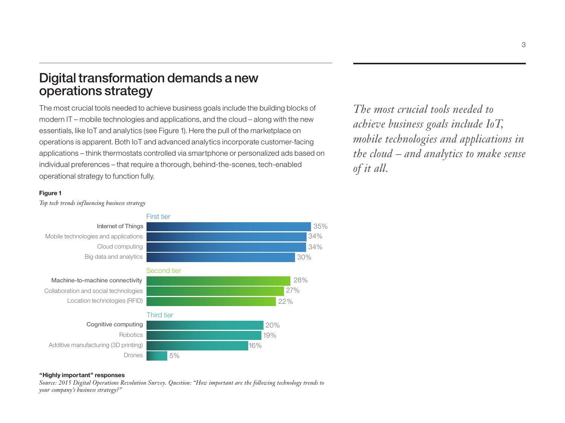# Digital transformation demands a new operations strategy

The most crucial tools needed to achieve business goals include the building blocks of modern IT – mobile technologies and applications, and the cloud – along with the new essentials, like IoT and analytics (see Figure 1). Here the pull of the marketplace on operations is apparent. Both IoT and advanced analytics incorporate customer-facing applications – think thermostats controlled via smartphone or personalized ads based on individual preferences – that require a thorough, behind-the-scenes, tech-enabled operational strategy to function fully.

*The most crucial tools needed to achieve business goals include IoT, mobile technologies and applications in the cloud – and analytics to make sense of it all.*

#### **Figure 1**



*Top tech trends influencing business strategy*

### **"Highly important" responses**

*Source: 2015 Digital Operations Revolution Survey. Question: "How important are the following technology trends to your company's business strategy?"*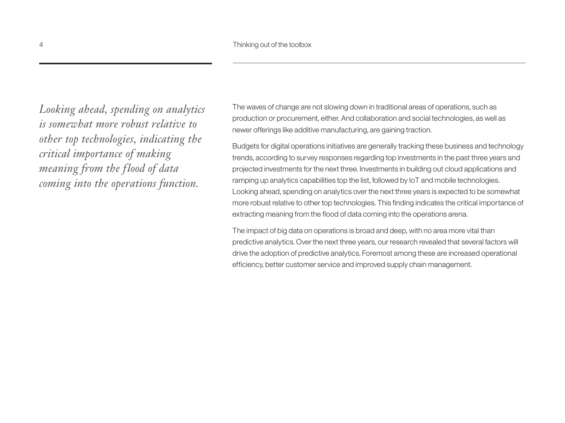*Looking ahead, spending on analytics is somewhat more robust relative to other top technologies, indicating the critical importance of making meaning from the flood of data coming into the operations function.*

The waves of change are not slowing down in traditional areas of operations, such as production or procurement, either. And collaboration and social technologies, as well as newer offerings like additive manufacturing, are gaining traction.

Budgets for digital operations initiatives are generally tracking these business and technology trends, according to survey responses regarding top investments in the past three years and projected investments for the next three. Investments in building out cloud applications and ramping up analytics capabilities top the list, followed by IoT and mobile technologies. Looking ahead, spending on analytics over the next three years is expected to be somewhat more robust relative to other top technologies. This finding indicates the critical importance of extracting meaning from the flood of data coming into the operations arena.

The impact of big data on operations is broad and deep, with no area more vital than predictive analytics. Over the next three years, our research revealed that several factors will drive the adoption of predictive analytics. Foremost among these are increased operational efficiency, better customer service and improved supply chain management.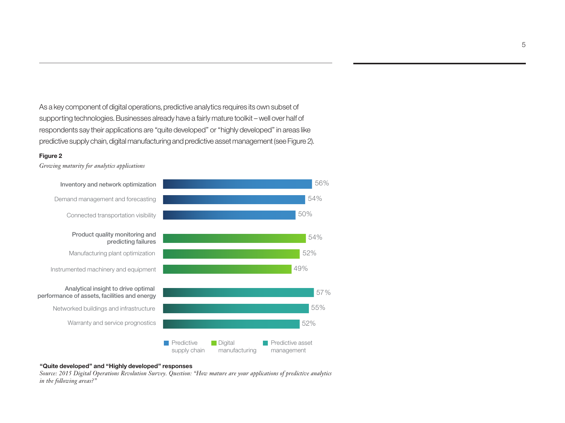As a key component of digital operations, predictive analytics requires its own subset of supporting technologies. Businesses already have a fairly mature toolkit – well over half of respondents say their applications are "quite developed" or "highly developed" in areas like predictive supply chain, digital manufacturing and predictive asset management (see Figure 2).

#### **Figure 2**

*Growing maturity for analytics applications* 



#### **"Quite developed" and "Highly developed" responses**

*Source: 2015 Digital Operations Revolution Survey. Question: "How mature are your applications of predictive analytics in the following areas?"*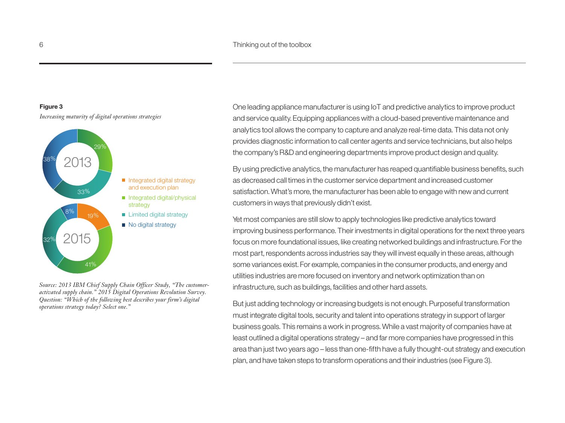#### **Figure 3**

*Increasing maturity of digital operations strategies*



*Source: 2013 IBM Chief Supply Chain Officer Study, "The customeractivated supply chain." 2015 Digital Operations Revolution Survey. Question: "Which of the following best describes your firm's digital operations strategy today? Select one."*

One leading appliance manufacturer is using IoT and predictive analytics to improve product and service quality. Equipping appliances with a cloud-based preventive maintenance and analytics tool allows the company to capture and analyze real-time data. This data not only provides diagnostic information to call center agents and service technicians, but also helps the company's R&D and engineering departments improve product design and quality.

By using predictive analytics, the manufacturer has reaped quantifiable business benefits, such as decreased call times in the customer service department and increased customer satisfaction. What's more, the manufacturer has been able to engage with new and current customers in ways that previously didn't exist.

Yet most companies are still slow to apply technologies like predictive analytics toward improving business performance. Their investments in digital operations for the next three years focus on more foundational issues, like creating networked buildings and infrastructure. For the most part, respondents across industries say they will invest equally in these areas, although some variances exist. For example, companies in the consumer products, and energy and utilities industries are more focused on inventory and network optimization than on infrastructure, such as buildings, facilities and other hard assets.

But just adding technology or increasing budgets is not enough. Purposeful transformation must integrate digital tools, security and talent into operations strategy in support of larger business goals. This remains a work in progress. While a vast majority of companies have at least outlined a digital operations strategy – and far more companies have progressed in this area than just two years ago – less than one-fifth have a fully thought-out strategy and execution plan, and have taken steps to transform operations and their industries (see Figure 3).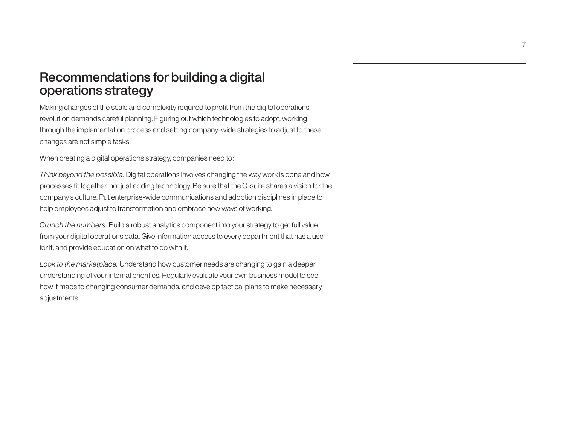# Recommendations for building a digital operations strategy

Making changes of the scale and complexity required to profit from the digital operations revolution demands careful planning. Figuring out which technologies to adopt, working through the implementation process and setting company-wide strategies to adjust to these changes are not simple tasks.

When creating a digital operations strategy, companies need to:

*Think beyond the possible.* Digital operations involves changing the way work is done and how processes fit together, not just adding technology. Be sure that the C-suite shares a vision for the company's culture. Put enterprise-wide communications and adoption disciplines in place to help employees adjust to transformation and embrace new ways of working.

*Crunch the numbers.* Build a robust analytics component into your strategy to get full value from your digital operations data. Give information access to every department that has a use for it, and provide education on what to do with it.

*Look to the marketplace.* Understand how customer needs are changing to gain a deeper understanding of your internal priorities. Regularly evaluate your own business model to see how it maps to changing consumer demands, and develop tactical plans to make necessary adjustments.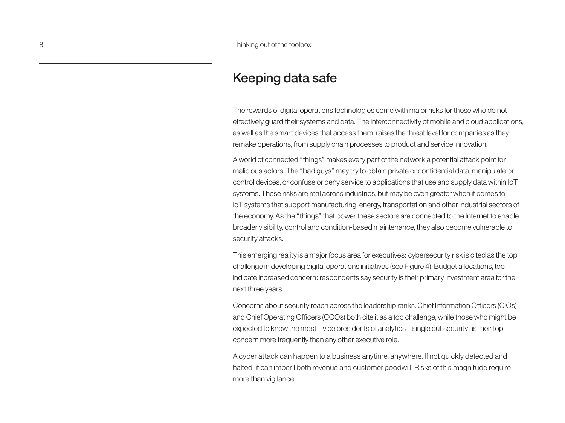# Keeping data safe

The rewards of digital operations technologies come with major risks for those who do not effectively guard their systems and data. The interconnectivity of mobile and cloud applications, as well as the smart devices that access them, raises the threat level for companies as they remake operations, from supply chain processes to product and service innovation.

A world of connected "things" makes every part of the network a potential attack point for malicious actors. The "bad guys" may try to obtain private or confidential data, manipulate or control devices, or confuse or deny service to applications that use and supply data within IoT systems. These risks are real across industries, but may be even greater when it comes to IoT systems that support manufacturing, energy, transportation and other industrial sectors of the economy. As the "things" that power these sectors are connected to the Internet to enable broader visibility, control and condition-based maintenance, they also become vulnerable to security attacks.

This emerging reality is a major focus area for executives: cybersecurity risk is cited as the top challenge in developing digital operations initiatives (see Figure 4). Budget allocations, too, indicate increased concern: respondents say security is their primary investment area for the next three years.

Concerns about security reach across the leadership ranks. Chief Information Officers (CIOs) and Chief Operating Officers (COOs) both cite it as a top challenge, while those who might be expected to know the most – vice presidents of analytics – single out security as their top concern more frequently than any other executive role.

A cyber attack can happen to a business anytime, anywhere. If not quickly detected and halted, it can imperil both revenue and customer goodwill. Risks of this magnitude require more than vigilance.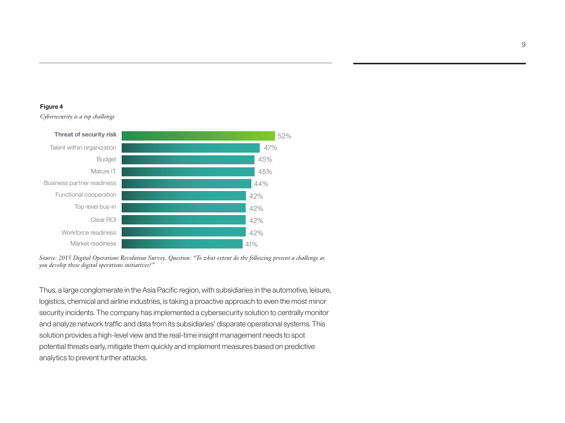#### **Figure 4**

*Cybersecurity is a top challenge*





Thus, a large conglomerate in the Asia Pacific region, with subsidiaries in the automotive, leisure, logistics, chemical and airline industries, is taking a proactive approach to even the most minor security incidents. The company has implemented a cybersecurity solution to centrally monitor and analyze network traffic and data from its subsidiaries' disparate operational systems. This solution provides a high-level view and the real-time insight management needs to spot potential threats early, mitigate them quickly and implement measures based on predictive analytics to prevent further attacks.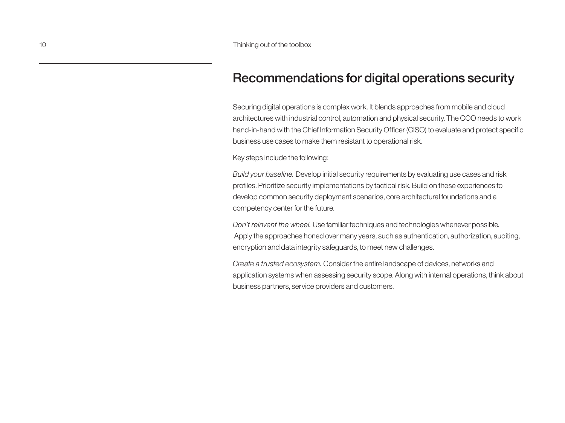# Recommendations for digital operations security

Securing digital operations is complex work. It blends approaches from mobile and cloud architectures with industrial control, automation and physical security. The COO needs to work hand-in-hand with the Chief Information Security Officer (CISO) to evaluate and protect specific business use cases to make them resistant to operational risk.

Key steps include the following:

*Build your baseline.* Develop initial security requirements by evaluating use cases and risk profiles. Prioritize security implementations by tactical risk. Build on these experiences to develop common security deployment scenarios, core architectural foundations and a competency center for the future.

*Don't reinvent the wheel.* Use familiar techniques and technologies whenever possible. Apply the approaches honed over many years, such as authentication, authorization, auditing, encryption and data integrity safeguards, to meet new challenges.

*Create a trusted ecosystem.* Consider the entire landscape of devices, networks and application systems when assessing security scope. Along with internal operations, think about business partners, service providers and customers.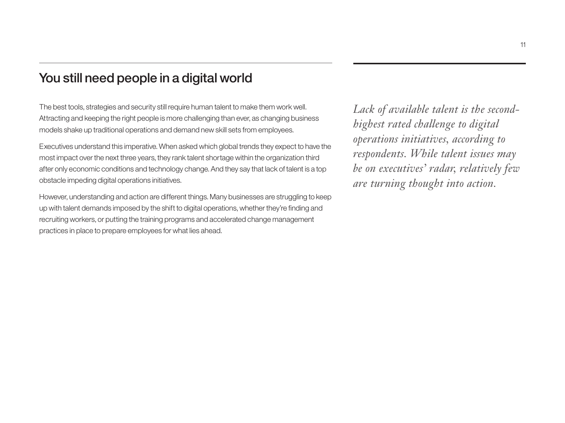# You still need people in a digital world

The best tools, strategies and security still require human talent to make them work well. Attracting and keeping the right people is more challenging than ever, as changing business models shake up traditional operations and demand new skill sets from employees.

Executives understand this imperative. When asked which global trends they expect to have the most impact over the next three years, they rank talent shortage within the organization third after only economic conditions and technology change. And they say that lack of talent is a top obstacle impeding digital operations initiatives.

However, understanding and action are different things. Many businesses are struggling to keep up with talent demands imposed by the shift to digital operations, whether they're finding and recruiting workers, or putting the training programs and accelerated change management practices in place to prepare employees for what lies ahead.

*Lack of available talent is the secondhighest rated challenge to digital operations initiatives, according to respondents. While talent issues may be on executives' radar, relatively few are turning thought into action.*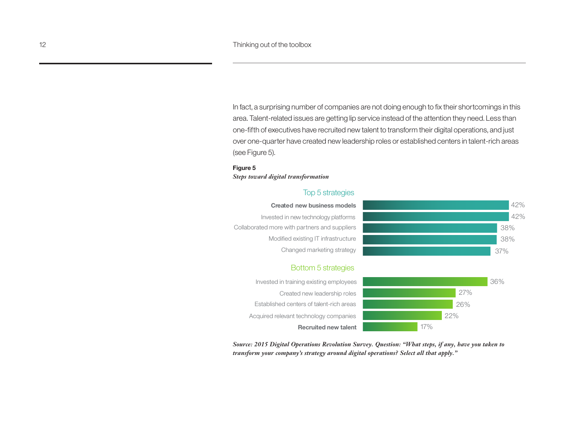In fact, a surprising number of companies are not doing enough to fix their shortcomings in this area. Talent-related issues are getting lip service instead of the attention they need. Less than one-fifth of executives have recruited new talent to transform their digital operations, and just over one-quarter have created new leadership roles or established centers in talent-rich areas (see Figure 5).

#### **Figure 5**

#### *Steps toward digital transformation*

### Top 5 strategies

#### **Created new business models**

Invested in new technology platforms Collaborated more with partners and suppliers Modified existing IT infrastructure Changed marketing strategy



26% 27% 36%

#### Bottom 5 strategies

Invested in training existing employees Created new leadership roles Established centers of talent-rich areas Acquired relevant technology companies

**Recruited new talent** 17% 22%

*Source: 2015 Digital Operations Revolution Survey. Question: "What steps, if any, have you taken to transform your company's strategy around digital operations? Select all that apply."*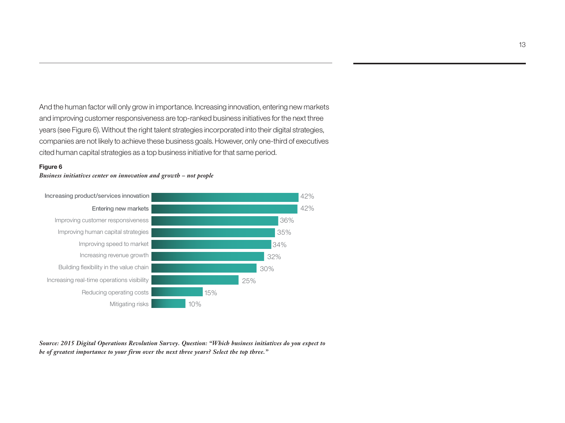And the human factor will only grow in importance. Increasing innovation, entering new markets and improving customer responsiveness are top-ranked business initiatives for the next three years (see Figure 6). Without the right talent strategies incorporated into their digital strategies, companies are not likely to achieve these business goals. However, only one-third of executives cited human capital strategies as a top business initiative for that same period.

#### **Figure 6**





*Source: 2015 Digital Operations Revolution Survey. Question: "Which business initiatives do you expect to be of greatest importance to your firm over the next three years? Select the top three."*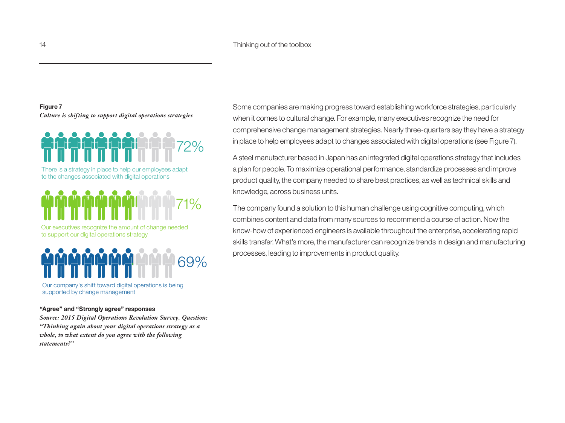## **Figure 7** *Culture is shifting to support digital operations strategies*



There is a strategy in place to help our employees adapt to the changes associated with digital operations



Our executives recognize the amount of change needed to support our digital operations strategy



Our company's shift toward digital operations is being supported by change management

#### **"Agree" and "Strongly agree" responses**

*Source: 2015 Digital Operations Revolution Survey. Question: "Thinking again about your digital operations strategy as a whole, to what extent do you agree with the following statements?"* 

Some companies are making progress toward establishing workforce strategies, particularly when it comes to cultural change. For example, many executives recognize the need for comprehensive change management strategies. Nearly three-quarters say they have a strategy in place to help employees adapt to changes associated with digital operations (see Figure 7).

A steel manufacturer based in Japan has an integrated digital operations strategy that includes a plan for people. To maximize operational performance, standardize processes and improve product quality, the company needed to share best practices, as well as technical skills and knowledge, across business units.

The company found a solution to this human challenge using cognitive computing, which combines content and data from many sources to recommend a course of action. Now the know-how of experienced engineers is available throughout the enterprise, accelerating rapid skills transfer. What's more, the manufacturer can recognize trends in design and manufacturing processes, leading to improvements in product quality.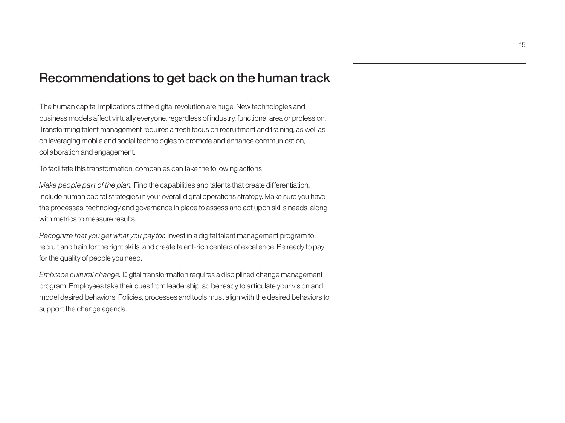# Recommendations to get back on the human track

The human capital implications of the digital revolution are huge. New technologies and business models affect virtually everyone, regardless of industry, functional area or profession. Transforming talent management requires a fresh focus on recruitment and training, as well as on leveraging mobile and social technologies to promote and enhance communication, collaboration and engagement.

To facilitate this transformation, companies can take the following actions:

*Make people part of the plan.* Find the capabilities and talents that create differentiation. Include human capital strategies in your overall digital operations strategy. Make sure you have the processes, technology and governance in place to assess and act upon skills needs, along with metrics to measure results.

*Recognize that you get what you pay for.* Invest in a digital talent management program to recruit and train for the right skills, and create talent-rich centers of excellence. Be ready to pay for the quality of people you need.

*Embrace cultural change.* Digital transformation requires a disciplined change management program. Employees take their cues from leadership, so be ready to articulate your vision and model desired behaviors. Policies, processes and tools must align with the desired behaviors to support the change agenda.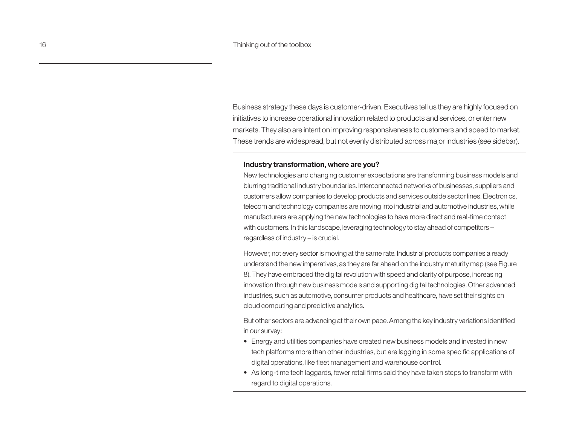Business strategy these days is customer-driven. Executives tell us they are highly focused on initiatives to increase operational innovation related to products and services, or enter new markets. They also are intent on improving responsiveness to customers and speed to market. These trends are widespread, but not evenly distributed across major industries (see sidebar).

### **Industry transformation, where are you?**

New technologies and changing customer expectations are transforming business models and blurring traditional industry boundaries. Interconnected networks of businesses, suppliers and customers allow companies to develop products and services outside sector lines. Electronics, telecom and technology companies are moving into industrial and automotive industries, while manufacturers are applying the new technologies to have more direct and real-time contact with customers. In this landscape, leveraging technology to stay ahead of competitors – regardless of industry – is crucial.

However, not every sector is moving at the same rate. Industrial products companies already understand the new imperatives, as they are far ahead on the industry maturity map (see Figure 8). They have embraced the digital revolution with speed and clarity of purpose, increasing innovation through new business models and supporting digital technologies. Other advanced industries, such as automotive, consumer products and healthcare, have set their sights on cloud computing and predictive analytics.

But other sectors are advancing at their own pace. Among the key industry variations identified in our survey:

- Energy and utilities companies have created new business models and invested in new tech platforms more than other industries, but are lagging in some specific applications of digital operations, like fleet management and warehouse control.
- As long-time tech laggards, fewer retail firms said they have taken steps to transform with regard to digital operations.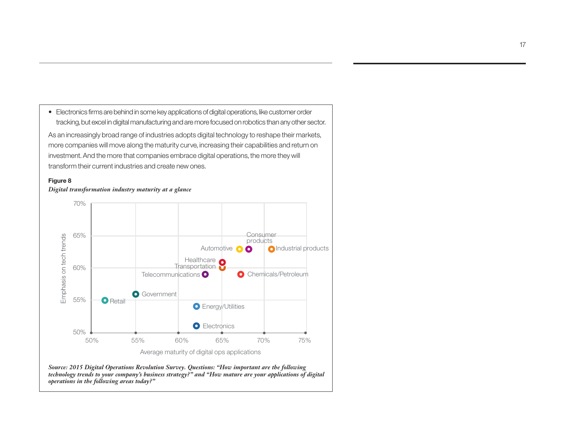

#### **Figure 8**

*Digital transformation industry maturity at a glance*



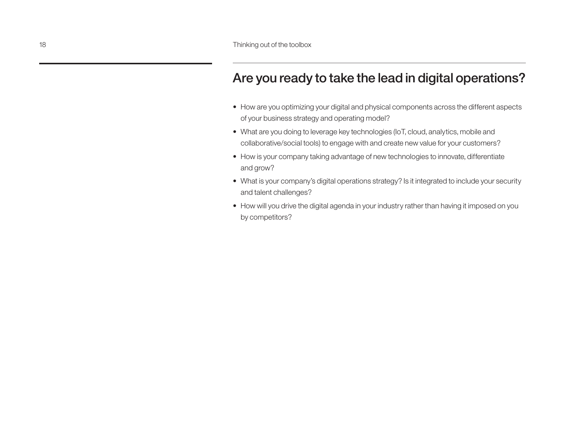# Are you ready to take the lead in digital operations?

- How are you optimizing your digital and physical components across the different aspects of your business strategy and operating model?
- What are you doing to leverage key technologies (IoT, cloud, analytics, mobile and collaborative/social tools) to engage with and create new value for your customers?
- How is your company taking advantage of new technologies to innovate, differentiate and grow?
- What is your company's digital operations strategy? Is it integrated to include your security and talent challenges?
- How will you drive the digital agenda in your industry rather than having it imposed on you by competitors?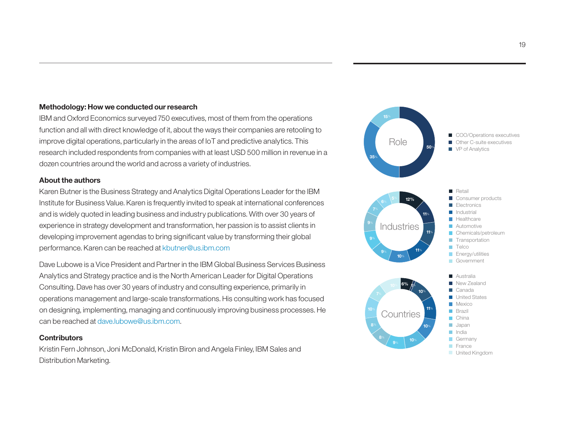### **Methodology: How we conducted our research**

IBM and Oxford Economics surveyed 750 executives, most of them from the operations function and all with direct knowledge of it, about the ways their companies are retooling to improve digital operations, particularly in the areas of IoT and predictive analytics. This research included respondents from companies with at least USD 500 million in revenue in a dozen countries around the world and across a variety of industries.

### **About the authors**

Karen Butner is the Business Strategy and Analytics Digital Operations Leader for the IBM Institute for Business Value. Karen is frequently invited to speak at international conferences and is widely quoted in leading business and industry publications. With over 30 years of experience in strategy development and transformation, her passion is to assist clients in developing improvement agendas to bring significant value by transforming their global performance. Karen can be reached at kbutner@us.ibm.com

Dave Lubowe is a Vice President and Partner in the IBM Global Business Services Business Analytics and Strategy practice and is the North American Leader for Digital Operations Consulting. Dave has over 30 years of industry and consulting experience, primarily in operations management and large-scale transformations. His consulting work has focused on designing, implementing, managing and continuously improving business processes. He can be reached at dave.lubowe@us.ibm.com.

### **Contributors**

Kristin Fern Johnson, Joni McDonald, Kristin Biron and Angela Finley, IBM Sales and Distribution Marketing.

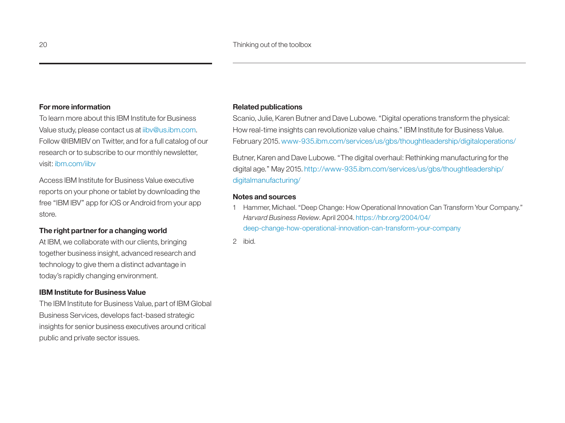### **For more information**

To learn more about this IBM Institute for Business Value study, please contact us at iibv@us.ibm.com. Follow @IBMIBV on Twitter, and for a full catalog of our research or to subscribe to our monthly newsletter, visit: ibm.com/iibv

Access IBM Institute for Business Value executive reports on your phone or tablet by downloading the free "IBM IBV" app for iOS or Android from your app store.

### **The right partner for a changing world**

At IBM, we collaborate with our clients, bringing together business insight, advanced research and technology to give them a distinct advantage in today's rapidly changing environment.

### **IBM Institute for Business Value**

The IBM Institute for Business Value, part of IBM Global Business Services, develops fact-based strategic insights for senior business executives around critical public and private sector issues.

#### **Related publications**

Scanio, Julie, Karen Butner and Dave Lubowe. "Digital operations transform the physical: How real-time insights can revolutionize value chains." IBM Institute for Business Value. February 2015. [www-935.ibm.com/services/us/gbs/thoughtleadership/digitaloperations/](http://www-935.ibm.com/services/us/gbs/thoughtleadership/digitaloperations/)

Butner, Karen and Dave Lubowe. "The digital overhaul: Rethinking manufacturing for the digital age." May 2015. http:/[/www-935.ibm.com/services/us/gbs/thoughtleadership/](http://www-935.ibm.com/services/us/gbs/thoughtleadership/digitalmanufacturing/) [digitalmanufacturing/](http://www-935.ibm.com/services/us/gbs/thoughtleadership/digitalmanufacturing/)

### **Notes and sources**

1 Hammer, Michael. "Deep Change: How Operational Innovation Can Transform Your Company." *Harvard Business Review*. April 2004. [https://hbr.org/2004/04/](https://hbr.org/2004/04/deep-change-how-operational-innovation-can-transform-your-company) [deep-change-how-operational-innovation-can-transform-your-company](https://hbr.org/2004/04/deep-change-how-operational-innovation-can-transform-your-company)

2 ibid.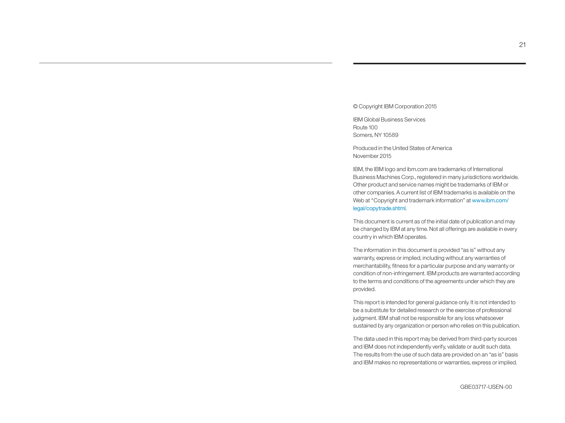#### © Copyright IBM Corporation 2015

IBM Global Business Services Route 100 Somers, NY 10589

Produced in the United States of America November 2015

IBM, the IBM logo and ibm.com are trademarks of International Business Machines Corp., registered in many jurisdictions worldwide. Other product and service names might be trademarks of IBM or other companies. A current list of IBM trademarks is available on the Web at "Copyright and trademark information" at www.ibm.com/ legal/copytrade.shtml.

This document is current as of the initial date of publication and may be changed by IBM at any time. Not all offerings are available in every country in which IBM operates.

The information in this document is provided "as is" without any warranty, express or implied, including without any warranties of merchantability, fitness for a particular purpose and any warranty or condition of non-infringement. IBM products are warranted according to the terms and conditions of the agreements under which they are provided.

This report is intended for general guidance only. It is not intended to be a substitute for detailed research or the exercise of professional judgment. IBM shall not be responsible for any loss whatsoever sustained by any organization or person who relies on this publication.

The data used in this report may be derived from third-party sources and IBM does not independently verify, validate or audit such data. The results from the use of such data are provided on an "as is" basis and IBM makes no representations or warranties, express or implied.

GBE03717-USEN-00